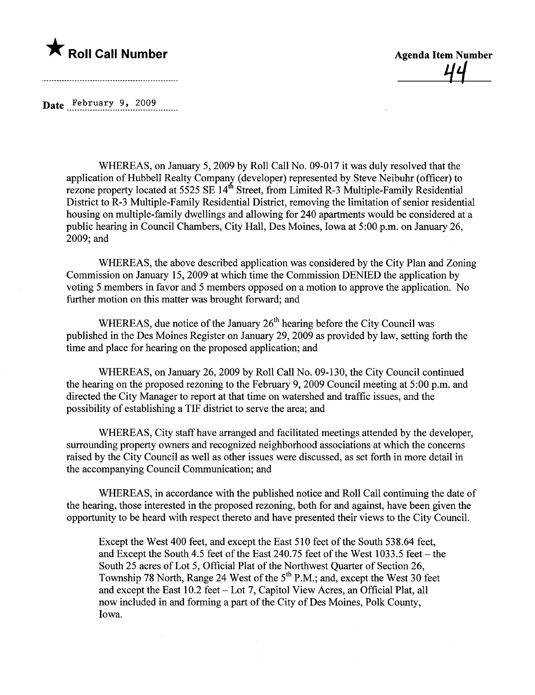

44<br>1

Date February 9, 2009

WHEREAS, on January 5, 2009 by Roll Call No. 09-017 it was duly resolved that the application of Hubbell Realty Company (developer) represented by Steve Neibuhr (officer) to rezone property located at  $5525 \text{ SE } 14^{\text{th}}$  Street, from Limited R-3 Multiple-Family Residential District to R-3 Multiple-Family Residential District, removing the limitation of senior residential housing on multiple-family dwellngs and allowing for 240 apartments would be considered at a public hearing in Council Chambers, City Hall, Des Moines, Iowa at 5:00 p.m. on January 26, 2009; and

WHEREAS, the above described application was considered by the City Plan and Zoning Commission on January 15,2009 at which time the Commission DENIED the application by voting 5 members in favor and 5 members opposed on a motion to approve the application. No further motion on this matter was brought forward; and

WHEREAS, due notice of the January  $26<sup>th</sup>$  hearing before the City Council was published in the Des Moines Register on January 29,2009 as provided by law, setting forth the time and place for hearing on the proposed application; and

WHEREAS, on January 26, 2009 by Roll Call No. 09-130, the City Council continued the hearing on the proposed rezoning to the February 9, 2009 Council meeting at 5:00 p.m. and directed the City Manager to report at that time on watershed and traffic issues, and the possibility of establishing a TIF district to serve the area; and

WHEREAS, City staff have arranged and facilitated meetings attended by the developer. surrounding property owners and recognized neighborhood associations at which the concerns raised by the City Council as well as other issues were discussed, as set forth in more detail in the accompanying Council Communication; and

WHEREAS, in accordance with the published notice and Roll Call continuing the date of the hearing, those interested in the proposed rezoning, both for and against, have been given the opportunity to be heard with respect thereto and have presented their views to the City CounciL.

Except the West 400 feet, and except the East 510 feet of the South 538.64 feet, and Except the South 4.5 feet of the East 240.75 feet of the West 1033.5 feet – the South 25 acres of Lot 5, Official Plat of the Northwest Quarter of Section 26, Township 78 North, Range 24 West of the  $5<sup>th</sup>$  P.M.; and, except the West 30 feet and except the East 10.2 feet - Lot 7, Capitol View Acres, an Official Plat, all now included in and forming a part of the City of Des Moines, Polk County, Iowa.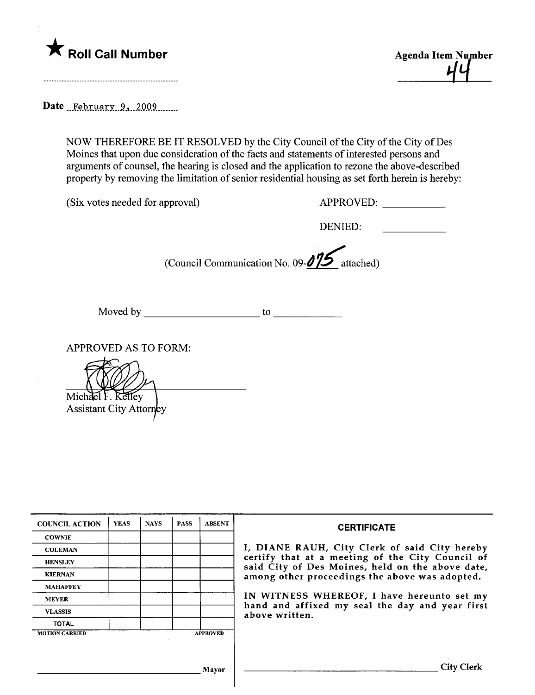

Date  $February.9$ ,  $2009$ 

NOW THEREFORE BE IT RESOLVED by the City Council of the City of the City of Des Moines that upon due consideration of the facts and statements of interested persons and arguments of counsel, the hearing is closed and the application to rezone the above-described property by removing the limitation of senior residential housing as set forth herein is hereby:

(Six votes needed for approval) APPROVED:

DENIED:

(Council Communication No. 09- $\cancel{075}$  attached)

Moved by to to the contract of the contract of the contract of the contract of the contract of the contract of the contract of the contract of the contract of the contract of the contract of the contract of the contract of

APPROVED AS TO FORM:

Michael F. Kelley **Assistant City Attomey** 

| <b>COUNCIL ACTION</b> | <b>YEAS</b> | <b>NAYS</b> | <b>PASS</b> | <b>ABSENT</b>   | <b>CERTIFICATE</b>                                                                                   |
|-----------------------|-------------|-------------|-------------|-----------------|------------------------------------------------------------------------------------------------------|
| <b>COWNIE</b>         |             |             |             |                 |                                                                                                      |
| <b>COLEMAN</b>        |             |             |             |                 | I, DIANE RAUH, City Clerk of said City hereby                                                        |
| <b>HENSLEY</b>        |             |             |             |                 | certify that at a meeting of the City Council of<br>said City of Des Moines, held on the above date, |
| <b>KIERNAN</b>        |             |             |             |                 | among other proceedings the above was adopted.                                                       |
| <b>MAHAFFEY</b>       |             |             |             |                 |                                                                                                      |
| <b>MEYER</b>          |             |             |             |                 | IN WITNESS WHEREOF, I have hereunto set my                                                           |
| <b>VLASSIS</b>        |             |             |             |                 | hand and affixed my seal the day and year first<br>above written.                                    |
| <b>TOTAL</b>          |             |             |             |                 |                                                                                                      |
| <b>MOTION CARRIED</b> |             |             |             | <b>APPROVED</b> |                                                                                                      |
|                       |             |             |             |                 |                                                                                                      |
|                       |             |             |             | <b>Mayor</b>    | City                                                                                                 |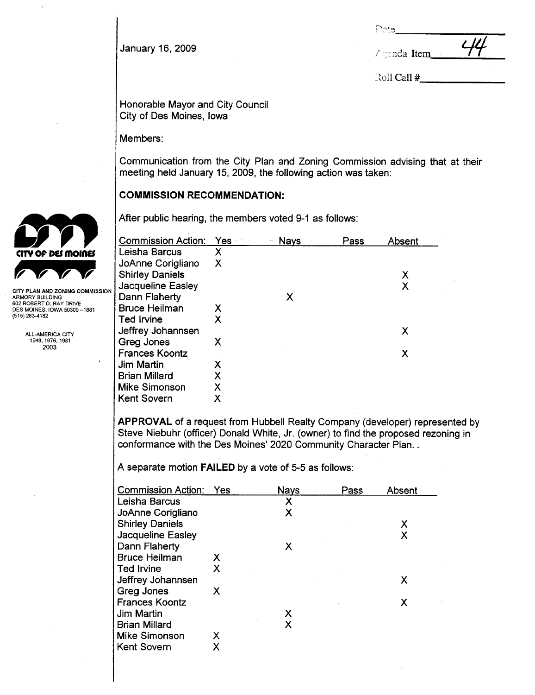$P_{\cdot}$ 

الماس المستخدم المستخدم المستخدم المستخدم المستخدم المستخدم المستخدم المستخدم المستخدم المستخدم المستخدم المستخ<br>المستخدم المستخدم المستخدم المستخدم المستخدم المستخدم المستخدم المستخدم المستخدم المستخدم المستخدم المستخدم

 $R$ oll  $Call$  #

Honorable Mayor and City Council City of Des Moines, Iowa

Members:

Communication from the City Plan and Zoning Commission advising that at their meeting held January 15, 2009, the following action was taken:

# COMMISSION RECOMMENDATION:

After public hearing, the members voted 9-1 as follows:

|                                                           | Commission Action: Yes   |   | <b>Nays</b> | Pass | Absent |
|-----------------------------------------------------------|--------------------------|---|-------------|------|--------|
| CITY OF DES MOINES                                        | Leisha Barcus            | X |             |      |        |
|                                                           | JoAnne Corigliano        | Χ |             |      |        |
|                                                           | <b>Shirley Daniels</b>   |   |             |      | Χ      |
|                                                           | <b>Jacqueline Easley</b> |   |             |      | Χ      |
| CITY PLAN AND ZONING COMMISSION<br>ARMORY BUILDING        | Dann Flaherty            |   | Х           |      |        |
| 602 ROBERT D. RAY DRIVE<br>DES MOINES, IOWA 50309 -- 1881 | <b>Bruce Heilman</b>     |   |             |      |        |
| (515) 283–4182                                            | Ted Irvine               | Х |             |      |        |
| ALL-AMERICA CITY                                          | Jeffrey Johannsen        |   |             |      | Х      |
| 1949, 1976, 1981                                          | Greg Jones               | Х |             |      |        |
| 2003                                                      | <b>Frances Koontz</b>    |   |             |      | Χ      |
|                                                           | <b>Jim Martin</b>        |   |             |      |        |
|                                                           | <b>Brian Millard</b>     | X |             |      |        |
|                                                           | <b>Mike Simonson</b>     | Χ |             |      |        |
|                                                           | <b>Kent Sovern</b>       |   |             |      |        |
|                                                           |                          |   |             |      |        |

APPROVAL of a request from Hubbell Realty Company (developer) represented by Steve Niebuhr (officer) Donald White, Jr. (owner) to find the proposed rezoning in conformance with the Des Moines' 2020 Community Character Plan. \_

A separate motion FAILED by a vote of 5-5 as follows:

| <b>Commission Action:</b> | Yes | Nays | Pass | Absent |
|---------------------------|-----|------|------|--------|
| Leisha Barcus             |     | Χ    |      |        |
| JoAnne Corigliano         |     | Χ    |      |        |
| <b>Shirley Daniels</b>    |     |      |      | X      |
| Jacqueline Easley         |     |      |      | Х      |
| Dann Flaherty             |     | X    |      |        |
| <b>Bruce Heilman</b>      | X   |      |      |        |
| <b>Ted Irvine</b>         | X   |      |      |        |
| Jeffrey Johannsen         |     |      |      | X      |
| Greg Jones                | X   |      |      |        |
| <b>Frances Koontz</b>     |     |      |      | X      |
| <b>Jim Martin</b>         |     | x    |      |        |
| <b>Brian Millard</b>      |     | х    |      |        |
| <b>Mike Simonson</b>      | X.  |      |      |        |
| <b>Kent Sovern</b>        | x   |      |      |        |

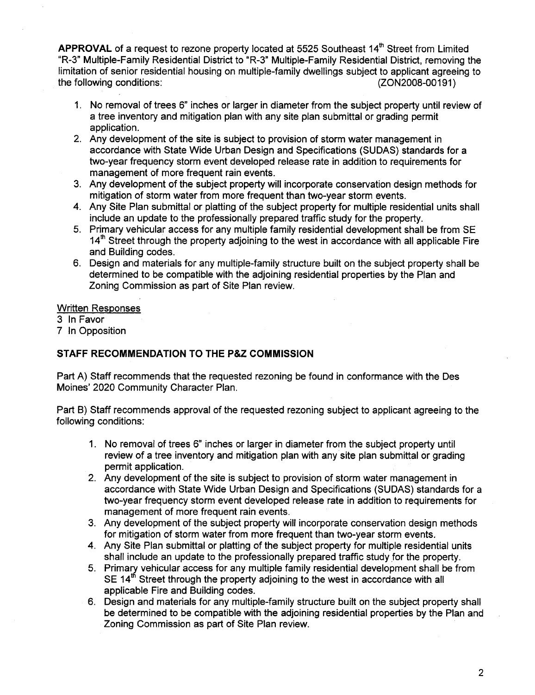APPROVAL of a request to rezone property located at 5525 Southeast 14<sup>th</sup> Street from Limited "R-3" Multiple-Family Residential District to "R-3" Multiple-Family Residential District, removing the limitation of senior residential housing on multiple-family dwellngs subject to applicant agreeing to the following conditions: (ZON2008-00191)

- 1. No removal of trees 6" inches or larger in diameter from the subject pròperty until review of a tree inventory and mitigation plan with any site plan submittal or grading permit application.
- 2. Any development of the site is subject to provision of storm water management in accordance with State Wide Urban Design and Specifications (SUDAS) standards for a two-year frequency storm event developed release rate in addition to requirements for management of more frequent rain events.
- 3. Any development of the subject property wil incorporate conservation design methods for mitigation of storm water from more frequent than two-year storm events.
- 4. Any Site Plan submittal or platting of the subject property for multiple residential units shall include an update to the professionally prepared traffic study for the property.
- 5. Primary vehicular access for any multiple family residential development shall be from SE 14<sup>th</sup> Street through the property adjoining to the west in accordance with all applicable Fire and Building codes.
- 6. Design and materials for any multiple-family structure built on the subject property shall be determined to be compatible with the adjoining residential properties by the Plan and Zoning Commission as part of Site Plan review.

## Written Responses

3 In Favor

7 In Opposition

## STAFF RECOMMENDATION TO THE P&Z COMMISSION

Part A) Staff recommends that the requested rezoning be found in conformance with the Des Moines' 2020 Community Character Plan.

Part B) Staff recommends approval of the requested rezoning subject to applicant agreeing to the following conditions:

- 1. No removal of trees 6" inches or larger in diameter from the subject property until review of a tree inventory and mitigation plan with any site plan submittal or grading permit application.
- 2. Any development of the site is subject to provision of storm water management in accordance with State Wide Urban Design and Specifications (SUDAS) standards for a two-year frequency storm event developed release rate in addition to requirements for management of more frequent rain events.
- 3. Any development of the subject property will incorporate conservation design methods for mitigation of storm water from more frequent than two-year storm events.
- 4. Any Site Plan submittal or platting of the subject property for multiple residential units shall include an update to the professionally prepared traffc study for the property.
- 5. Primary vehicular access for any multiple family residential development shall be from SE 14<sup>th</sup> Street through the property adjoining to the west in accordance with all applicable Fire and Building codes.
- 6. Design and materials for any multiple-family structure built on the subject property shall be determined to be compatible with the adjoining residential properties by the Plan and Zoning Commission as part of Site Plan review.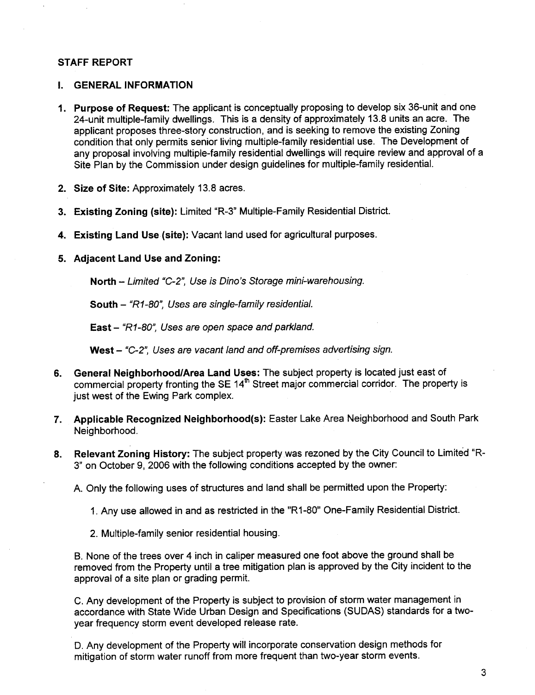### STAFF REPORT

### I. GENERAL INFORMATION

- 1. Purpose of Request: The applicant is conceptually proposing to develop six 36-unit and one 24-unit multiple-family dwellings. This is a density of approximately 13.8 units an acre. The applicant proposes three-story construction, and is seeking to remove the existing Zoning condition that only permits senior living multiple-family residential use. The Development of any proposal involving multiple-family residential dwellings will require review and approval of a Site Plan by the Commission under design guidelines for multiple-family residentiaL.
- 2. Size of Site: Approximately 13.8 acres.
- 3. Existing Zoning (site): Limited "R-3" Multiple-Family Residential District.
- 4. Existing Land Use (site): Vacant land used for agricultural purposes.
- 5. Adjacent Land Use and Zoning:

North - Limited "C-2", Use is Dino's Storage mini-warehousing.

South - "R1-BO", Uses are single-family residential.

East  $-$  "R1-80", Uses are open space and parkland.

West - "C-2", Uses are vacant land and off-premises advertising sign.

- 6. General Neighborhood/Area Land Uses: The subject property is located just east of commercial property fronting the SE  $14<sup>th</sup>$  Street major commercial corridor. The property is just west of the Ewing Park complex.
- 7. Applicable Recognized Neighborhood(s): Easter Lake Area Neighborhood and South Park Neighborhood.
- 8. Relevant Zoning History: The subject property.was rezoned by the City Council to Limited "R-3" on October 9, 2006 with the following conditions accepted by the owner:

A. Only the following uses of structures and land shall be permitted upon the Property:

- 1. Any use allowed in and as restricted in the "R 1-80" One-F am ily Residential District.
- 2. Multiple-family senior residential housing.

B. None of the trees over 4 inch in caliper measured one foot above the ground shall be removed from the Property until a tree mitigation plan is approved by the City incident to the approval of a site plan or grading permit.

C. Any development of the Property is subject to provision of storm water management in accordance with State Wide Urban Design and Specifications (SUDAS) standards for a twoyear frequency storm event developed release rate.

D. Any development of the Property wil incorporate conservation design methods for mitigation of storm water runoff from more frequent than two-year storm events.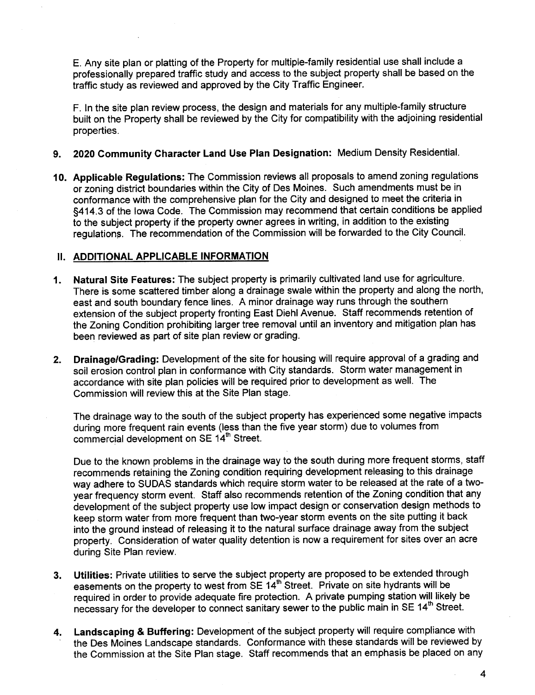E. Any site plan or platting of the Property for multiple-family residential use shall include a professionally prepared traffic study and access to the subject property shall be based on the traffic study as reviewed and approved by the City Traffic Engineer.

F. In the site plan review process, the design and materials for any multiple-family structure built on the Property shall be reviewed by the City for compatibilty with the adjoining residential properties.

- 9. 2020 Community Character Land Use Plan Designation: Medium Density Residential.
- 10. Applicable Regulations: The Commission reviews all proposals to amend zoning regulations or zoning district boundaries within the City of Des Moines. Such amendments must be in conformance with the comprehensive plan for the City and designed to meet the criteria in §414.3 of the Iowa Code. The Commission may recommend that certain conditions be applied to the subject property if the property owner agrees in writing, in addition to the existing regulations. The recommendation of the Commission will be forwarded to the City Council.

## II. ADDITIONAL APPLICABLE INFORMATION

- 1. Natural Site Features: The subject property is primarily cultivated land use for agriculture. There is some scattered timber along a drainage swale within the property and along the north, east and south boundary fence lines. A minor drainage way runs through the southern extension of the subject property fronting East Diehl Avenue. Staff recommends retention of the Zoning Condition prohibiting larger tree removal until an inventory and mitigation plan has been reviewed as part of site plan review or grading.
- 2. Drainage/Grading: Development of the site for housing will require approval of a grading and soil erosion control plan in conformance with City standards. Storm water management in accordance with site plan policies will be required prior to development as welL. The Commission will review this at the Site Plan stage.

The drainage way to the south of the subject property has experienced some negative impacts during more frequent rain events (less than the five year storm) due to volumes from commercial development on SE 14<sup>th</sup> Street.

Due to the known problems in the drainage way to the south during more frequent storms, staff recommends retaining the Zoning condition requiring development releasing to this drainage way adhere to SUDAS standards which require storm water to be released at the rate of a twoyear frequency storm event. Staff also recommends retention of the Zoning condition that any development of the subject property use low impact design or conservation design methods to keep storm water from more frequent than two-year storm events on the site putting it back into the ground instead of releasing it to the natural surface drainage away from the subject property. Consideration of water quality detention is now a requirement for sites over an acre during Site Plan review.

- 3. Utilities: Private utilities to serve the subject property are proposed to be extended through easements on the property to west from  $SE 14<sup>th</sup>$  Street. Private on site hydrants will be required in order to provide adequate fire protection. A private pumping station wil likely be necessary for the developer to connect sanitary sewer to the public main in SE 14<sup>th</sup> Street.
- 4. Landscaping & Buffering: Development of the subject property will require compliance with the Des Moines Landscape standards. Conformance with these standards will be reviewed by the Commission at the Site Plan stage. Staff recommends that an emphasis be placed on any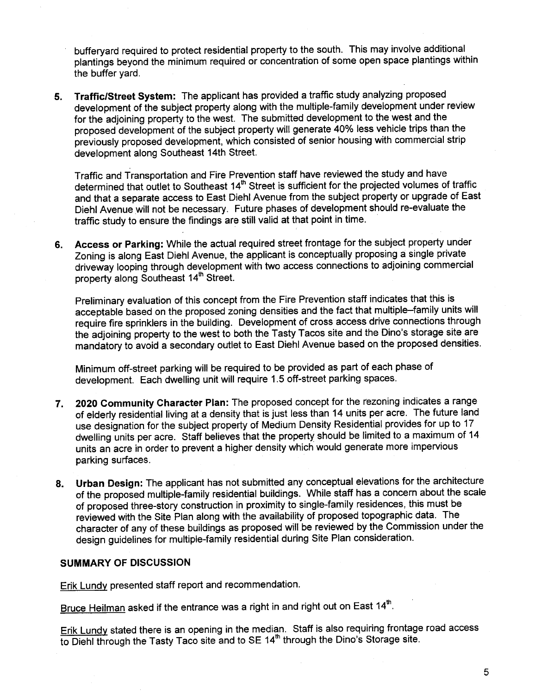bufferyard required to protect residential property to the south. This may involve additional plantings beyond the minimum required or concentration of some open space plantings within the buffer yard.

5. Traffic/Street System: The applicant has provided a traffic study analyzing proposed development of the subject property along with the multiple-family development under review for the adjoining property to the west. The submitted development to the west and the proposed development of the subject property wil generate 40% less vehicle trips than the previously proposed development, which consisted of senior housing with commercial strip development along Southeast 14th Street.

Traffic and Transportation and Fire Prevention staff have reviewed the study and have determined that outlet to Southeast  $14<sup>th</sup>$  Street is sufficient for the projected volumes of traffic and that a separate access to East Diehl Avenue from the subject property or upgrade of East Diehl Avenue wil not be necessary. Future phases of development should re-evaluate the traffic study to ensure the findings are still valid at that point in time.

6. Access or Parking: While the actual required street frontage for the subject property under Zoning is along East Diehl Avenue, the applicant is conceptually proposing a single private driveway looping through development with two access connections to adjoining commercial property along Southeast 14<sup>th</sup> Street.

Preliminary evaluation of this concept from the Fire Prevention staff indicates that this is acceptable based on the proposed zoning densities and the fact that multiple-family units wil require fire sprinklers in the building. Development of cross access drive connections through the adjoining property to the west to both the Tasty Tacos site and the Dino's storage site are mandatory to avoid a secondary outlet to East Diehl Avenue based on the proposed densities.

Minimum off-street parking wil be required to be provided as part of each phase of development. Each dwellng unit will require 1.5 off-street parking spaces.

- 7. 2020 Community Character Plan: The proposed concept for the rezoning indicates a range of elderly residential living at a density that is just less than 14 units per acre. The future land use designation for the subject property of Medium Density Residential provides for up to 17 dwellng units per acre. Staff believes that the property should be limited to a maximum of 14 units an acre in order to prevent a higher density which would generate more impervious parking surfaces.
- 8. Urban Design: The applicant has not submitted any conceptual elevations for the architecture of the proposed multiple-family residential buildings. While staff has a concern about the scale of proposed three-story construction in proximity to single-family residences, this must be reviewed with the Site Plan along with the availabilty of proposed topographic data. The character of any of these buildings as proposed wil be reviewed by the Commission under the design guidelines for multiple-family residential during Site Plan consideration.

### SUMMARY OF DISCUSSION

Erik Lundy presented staff report and recommendation.

Bruce Heilman asked if the entrance was a right in and right out on East 14<sup>th</sup>.

Erik Lundy stated there is an opening in the median. Staff is also requiring frontage road access to Diehl through the Tasty Taco site and to SE 14<sup>th</sup> through the Dino's Storage site.

5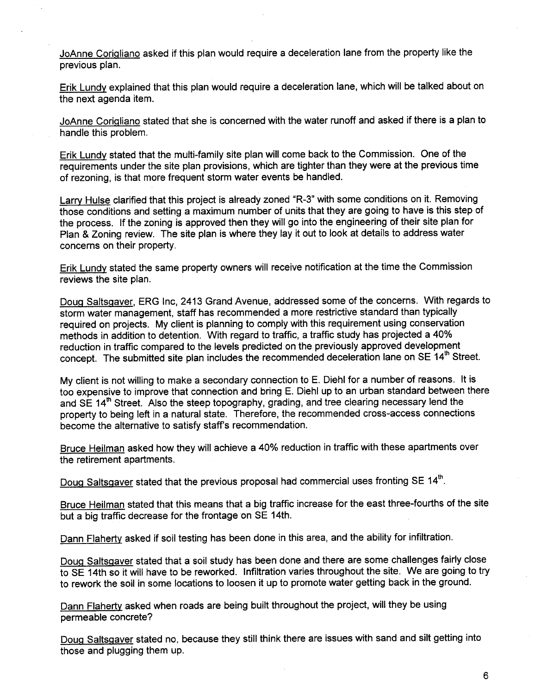JoAnne Corigliano asked if this plan would require a deceleration lane from the property like the previous plan.

Erik Lundy explained that this plan would require a deceleration lane, which wil be talked about on the next agenda item.

JoAnne Corigliano stated that she is concerned with the water runoff and asked if there is a plan to handle this problem.

Erik Lundy stated that the multi-family site plan wil come back to the Commission. One of the requirements under the site plan provisions, which are tighter than they were at the previous time of rezoning, is that more frequent storm water events be handled.

Larry Hulse clarified that this project is already zoned "R-3" with some conditions on it. Removing those conditions and setting a maximum number of units that they are going to have is this step of the process. If the zoning is approved then they will go into the engineering of their site plan for Plan & Zoning review. The site plan is where they lay it out to look at details to address water concerns on their property.

Erik Lundy stated the same property owners will receive notification at the time the Commission reviews the site plan.

Doug Saltsgaver, ERG Inc, 2413 Grand Avenue, addressed some of the concerns. With regards to storm water management, staff has recommended a more restrictive standard than typically required on projects. My client is planning to comply with this requirement using conservation methods in addition to detention. With regard to traffic, a traffic study has projected a 40% reduction in traffic compared to the levels predicted on the previously approved development concept. The submitted site plan includes the recommended deceleration lane on SE 14<sup>th</sup> Street.

My client is not willing to make a secondary connection to E. Diehl for a number of reasons. It is too expensive to improve that connection and bring E. Diehl up to an urban standard between there and SE 14<sup>th</sup> Street. Also the steep topography, grading, and tree clearing necessary lend the property to being left in a natural state. Therefore, the recommended cross-access connections become the alternative to satisfy staff's recommendation.

Bruce Heilman asked how they will achieve a 40% reduction in traffic with these apartments over the retirement apartments.

Doug Saltsgaver stated that the previous proposal had commercial uses fronting SE 14<sup>th</sup>.

Bruce Heilman stated that this means that a big traffic increase for the east three-fourths of the site but a big traffic decrease for the frontage on SE 14th.

Dann Flaherty asked if soil testing has been done in this area, and the abilty for infiltration.

Doug Saltsgaver stated that a soil study has been done and there are some challenges fairly close to SE 14th so it will have to be reworked. Infiltration varies throughout the site. We are going to try to rework the soil in some locations to loosen it up to promote water getting back in the ground.

Dann Flaherty asked when roads are being built throughout the project, will they be using permeable concrete?

Doug Saltsgaver stated no, because they still think there are issues with sand and silt getting into those and plugging them up.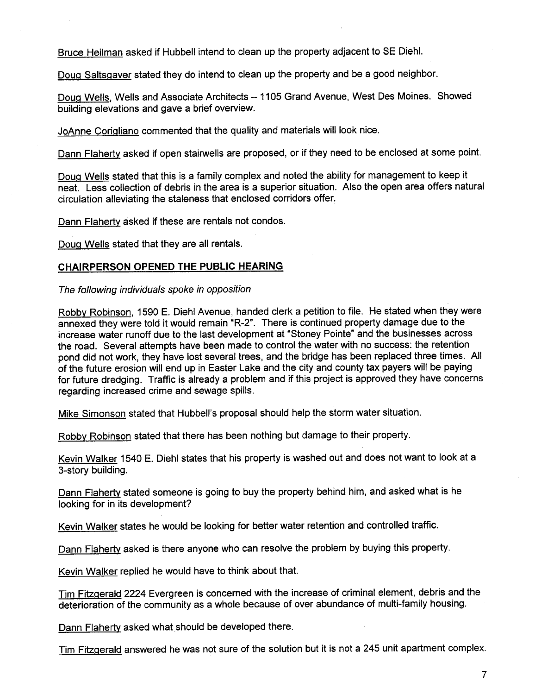Bruce Heilman asked if Hubbell intend to clean up the property adjacent to SE DiehL.

Doug Saltsgaver stated they do intend to clean up the property and be a good neighbor.

Doug Wells, Wells and Associate Architects - 1105 Grand Avenue, West Des Moines. Showed building elevations and gave a brief overview.

JoAnne Corioliano commented that the quality and materials wil look nice.

Dann Flaherty asked if open stairwells are proposed, or if they need to be enclosed at some point.

Doug Wells stated that this is a family complex and noted the ability for management to keep it neat. Less collection of debris in the area is a superior situation. Also the open area offers natural circulation alleviating the staleness that enclosed corridors offer.

Dann Flaherty asked if these are rentals not condos.

Doug Wells stated that they are all rentals.

## CHAIRPERSON OPENED THE PUBLIC HEARING

The following individuals spoke in opposition

Robby Robinson, 1590 E. Diehl Avenue, handed clerk a petition to file. He stated when they were annexed they were told it would remain "R-2". There is continued property damage due to the increase water runoff due to the last development at "Stoney Pointe" and the businesses across the road. Several attempts have been made to control the water with no success: the retention pond did not work, they have lost several trees, and the bridge has been replaced three times. All of the future erosion will end up in Easter Lake and the city and county tax payers wil be paying for future dredging. Traffic is already a problem and if this project is approved they have concerns regarding increased crime and sewage spils.

Mike Simonson stated that Hubbell's proposal should help the storm water situation.

Robby Robinson stated that there has been nothing but damage to their property.

Kevin Walker 1540 E. Diehl states that his property is washed out and does not want to look at a 3-story building.

Dann Flaherty stated someone is going to buy the property behind him, and asked what is he looking for in its development?

Kevin Walker states he would be looking for better water retention and controlled traffc.

Dann Flaherty asked is there anyone who can resolve the problem by buying this property.

Kevin Walker replied he would have to think about that.

Tim Fitzoerald 2224 Evergreen is concerned with the increase of criminal element, debris and the deterioration of the community as a whole because of over abundance of multi-family housing.

Dann Flaherty asked what should be developed there.

Tim Fitzgerald answered he was not sure of the solution but it is not a 245 unit apartment complex.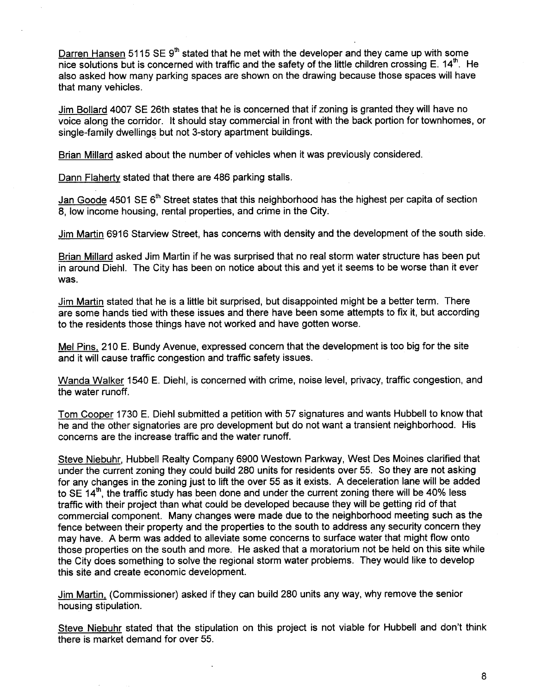Darren Hansen 5115 SE  $9<sup>th</sup>$  stated that he met with the developer and they came up with some nice solutions but is concerned with traffic and the safety of the little children crossing E.  $14<sup>th</sup>$ . He also asked how many parking spaces are shown on the drawing because those spaces wil have that many vehicles.

Jim Bollard 4007 SE 26th states that he is concerned that if zoning is granted they will have no voice along the corridor. It should stay commercial in front with the back portion for townhomes, or single-family dwellings but not 3-story apartment buildings.

Brian Milard asked about the number of vehicles when it was previously considered.

Dann Flaherty stated that there are 486 parking stalls.

Jan Goode 4501 SE  $6<sup>th</sup>$  Street states that this neighborhood has the highest per capita of section 8, low income housing, rental properties, and crime in the City.

Jim Martin 6916 Starview Street, has concerns with density and the development of the south side.

Brian Milard asked Jim Martin if he was surprised that no real storm water structure has been put in around DiehL. The City has been on notice about this and yet it seems to be worse than it ever was.

Jim Martin stated that he is a little bit surprised, but disappointed might be a better term. There are some hands tied with these issues and there have been some attempts to fix it, but according to the residents those things have not worked and have gotten worse.

Mel Pins, 210 E. Bundy Avenue, expressed concern that the development is too big for the site and it will cause traffic congestion and traffic safety issues.

Wanda Walker 1540 E. Diehl, is concerned with crime, noise level, privacy, traffic congestion, and the water runoff.

Tom Cooper 1730 E. Diehl submitted a petition with 57 signatures and wants Hubbell to know that he and the other signatories are pro development but do not want a transient neighborhood. His concerns are the increase traffic and the water runoff.

Steve Niebuhr, Hubbell Realty Company 6900 Westown Parkway, West Des Moines clarified that under the current zoning they could build 280 units for residents over 55. So they are not asking for any changes in the zoning just to lift the over 55 as it exists. A deceleration lane will be added to SE  $14<sup>th</sup>$ , the traffic study has been done and under the current zoning there will be 40% less traffic with their project than what could be developed because they will be getting rid of that commercial component. Many changes were made due to the neighborhood meeting such as the fence between their property and the properties to the south to address any security concern they may have. A berm was added to alleviate some concerns to surface water that might flow onto those properties on the south and more. He asked that a moratorium not be held on this site while the City does something to solve the regional storm water problems. They would like to develop this site and create economic development.

Jim Martin, (Commissioner) asked if they can build 280 units any way, why remove the senior housing stipulation.

Steve Niebuhr stated that the stipulation on this project is not viable for Hubbell and don't think there is market demand for over 55.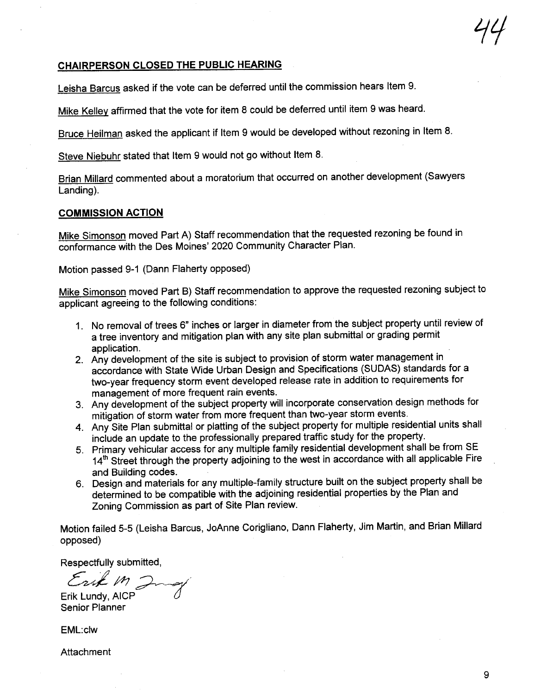77

### CHAIRPERSON CLOSED THE PUBLIC HEARING

Leisha Barcus asked if the vote can be deferred until the commission hears Item 9.

Mike Kelley affrmed that the vote for item 8 could be deferred until item 9 was heard.

Bruce Heilman asked the applicant if Item 9 would be developed without rezoning in Item 8.

Steve Niebuhr stated that Item 9 would not go without Item 8.

Brian Milard commented about a moratorium that occurred on another development (Sawyers Landing).

#### COMMISSION ACTION

Mike Simonson moved Part A) Staff recommendation that the requested rezoning be found in conformance with the Des Moines' 2020 Community Character Plan.

Motion passed 9-1 (Dann Flaherty opposed)

Mike Simonson moved Part B) Staff recommendation to approve the requested rezoning subject to applicant agreeing to the following conditions:

- 1. No removal of trees 6" inches or larger in diameter from the subject property until review of a tree inventory and mitigation plan with any site plan submittal or grading permit application.
- 2. Any development of the site is subject to provision of storm water management in accordance with State Wide Urban Design and Specifications (SUDAS) standards for a two-year frequency storm event developed release rate in addition to requirements for management of more frequent rain events.
- 3. Any development of the subject property wil incorporate conservation design methods for mitigation of storm water from more frequent than two-year storm events.
- 4. Any Site Plan submittal or platting of the subject property for multiple residential units shall include an update to the professionally prepared traffic study for the property.
- 5. Primary vehicular access for any multiple family residential development shall be from SE 14<sup>th</sup> Street through the property adjoining to the west in accordance with all applicable Fire and Building codes.
- 6. Design and materials for any multiple-family structure built on the subject property shall be determined to be compatible with the adjoining residential properties by the Plan and Zoning Commission as part of Site Plan review.

Motion failed 5-5 (Leisha Barcus, JoAnne Corigliano, Dann Flaherty, Jim Martin, and Brian Milard opposed)

Respectfully submitted,

Erik M 2ng

Erik Lundy, AICP Senior Planner

EML:c1w

**Attachment**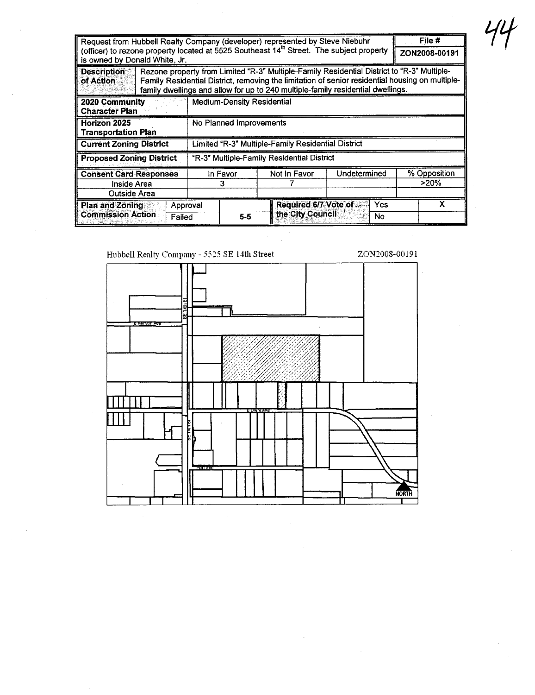|                                                                                                                                                                                                                                                                                                                     |                                                    |                                                                                                                                                                                      |              | File #       |  |  |
|---------------------------------------------------------------------------------------------------------------------------------------------------------------------------------------------------------------------------------------------------------------------------------------------------------------------|----------------------------------------------------|--------------------------------------------------------------------------------------------------------------------------------------------------------------------------------------|--------------|--------------|--|--|
| is owned by Donald White, Jr.                                                                                                                                                                                                                                                                                       |                                                    | Request from Hubbell Realty Company (developer) represented by Steve Niebuhr<br>(officer) to rezone property located at 5525 Southeast 14 <sup>th</sup> Street. The subject property |              |              |  |  |
| Rezone property from Limited "R-3" Multiple-Family Residential District to "R-3" Multiple-<br><b>Description</b><br>Family Residential District, removing the limitation of senior residential housing on multiple-<br>of Action<br>family dwellings and allow for up to 240 multiple-family residential dwellings. |                                                    |                                                                                                                                                                                      |              |              |  |  |
| 2020 Community<br><b>Character Plan</b>                                                                                                                                                                                                                                                                             | Medium-Density Residential                         |                                                                                                                                                                                      |              |              |  |  |
| Horizon 2025<br><b>Transportation Plan</b>                                                                                                                                                                                                                                                                          |                                                    | No Planned Improvements                                                                                                                                                              |              |              |  |  |
| <b>Current Zoning District</b>                                                                                                                                                                                                                                                                                      | Limited "R-3" Multiple-Family Residential District |                                                                                                                                                                                      |              |              |  |  |
| <b>Proposed Zoning District</b>                                                                                                                                                                                                                                                                                     | "R-3" Multiple-Family Residential District         |                                                                                                                                                                                      |              |              |  |  |
| <b>Consent Card Responses</b>                                                                                                                                                                                                                                                                                       | In Favor                                           | Not in Favor                                                                                                                                                                         | Undetermined | % Opposition |  |  |
| Inside Area                                                                                                                                                                                                                                                                                                         | з                                                  |                                                                                                                                                                                      |              | $>20\%$      |  |  |
| Outside Area                                                                                                                                                                                                                                                                                                        |                                                    |                                                                                                                                                                                      |              |              |  |  |
| <b>Plan and Zoning.</b><br><b>Commission Action</b>                                                                                                                                                                                                                                                                 | Approval<br>$5 - 5$<br>Failed                      | <b>Required 6/7 Vote of</b><br>the City Council                                                                                                                                      | Yes<br>No    |              |  |  |

Hubbell Realty Company - 5525 SE 14th Street

 $\bar{\bar{\nu}}$ 

 $\bar{\alpha}$ 



ZON2008-00191

 $\sim$ 

 $\sim 10^{11}$ 

 $\frac{1}{\sqrt{2}}$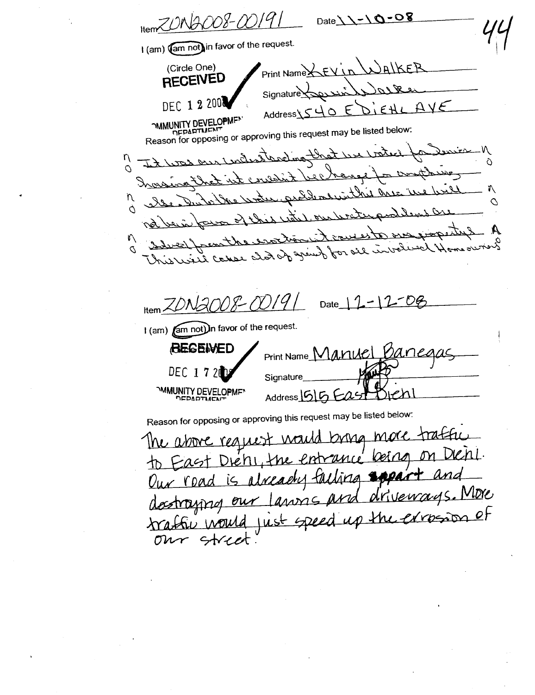$(2008 - 119)$  $Date \1 - 0 - 08$  $HermZON$ I (am) (am not) in favor of the request. (Circle One) KFP Print Name SEV **RECEIVED** Signature DEC 1 2 200  $AVF$ DIEH E Address) *<u>AMMUNITY DEVELOPMEN</u>* Reason for opposing or approving this request may be listed below: N η. Ò 工子  $\Omega$ Enteliza نا چې nawo massica N charling ute  $\mathcal{U}$ Ó À  $\sigma$ 60  $\boldsymbol{v}$  $\mathfrak{h}$ فحكحة لتمنعذ Hem ZDN2 VS-70191 -04 Date  $\frac{1}{L}$ I (am) (am not) in favor of the request. **BECEMED** anise Print Name DEC 1720 Signature **MMUNITY DEVELOPME**  $\bm{\Sigma}$ Address 1215 Reason for opposing or approving this request may be listed below: The above request would bring more traffic on Dieni. to East Diehi, the entrance being is alreachy facting speart and Cur road and driveways. More destroying our  $M$ up the exrosion of  $f$ ust the would GREEO street  $\sigma$ n $\tau$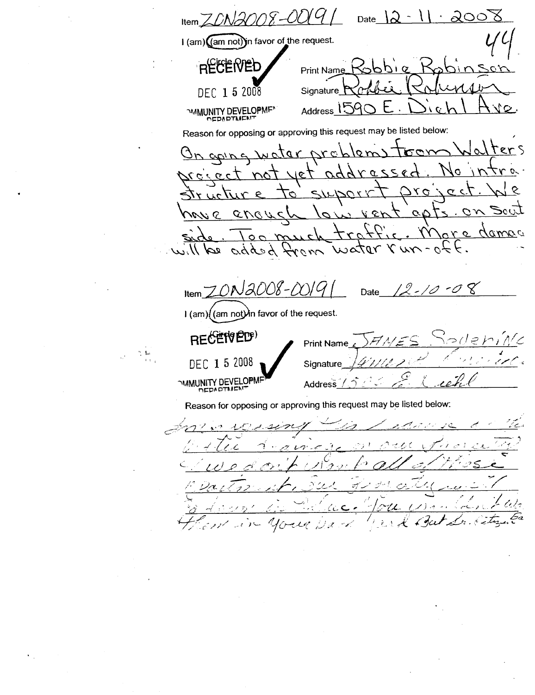<u>ao08 .</u> Date  $|2 - 1|$ Item  $\angle$ I (am) (am not) in favor of the request. **RECENED** Print Name DEC 1 5 2008 Signature Address<sub>15</sub> **NAMUNITY DEVELOPMEN** Reason for opposing or approving this request may be listed below: ters  $\alpha$ د معا س  $\sim$   $\sim$  $\mathbf{a}$  $C$  $D$  $\nu$ Ó  $\mathcal{C}$  $220$ ic  $\mathcal{O}$  $\sigma$  c 57 C  $\overline{\phantom{0}}$  $Q$ ↶ Q  $\sim$ annoc  $\mathbf Q$ Ó  $\zeta$ と. V  $\gamma$ 2  $\sigma$ ΥD  $\mathcal{O}$ MAOO8-1 1 9 -0 8 10 Date Item  $Z$ I (am) ((am not) in favor of the request. RECENCED **Print Name**  $\sim 1\sigma$ DEC 1 5 2008 Signature **NAMUNITY DEVELOPME** Address / Reason for opposing or approving this request may be listed below: ا<br>المنيس  $\epsilon$ أوسية مبر -7  $\overline{\mathcal{J}}$ ハ وبالكاليس  $\mathcal{U}_G$ ž. برم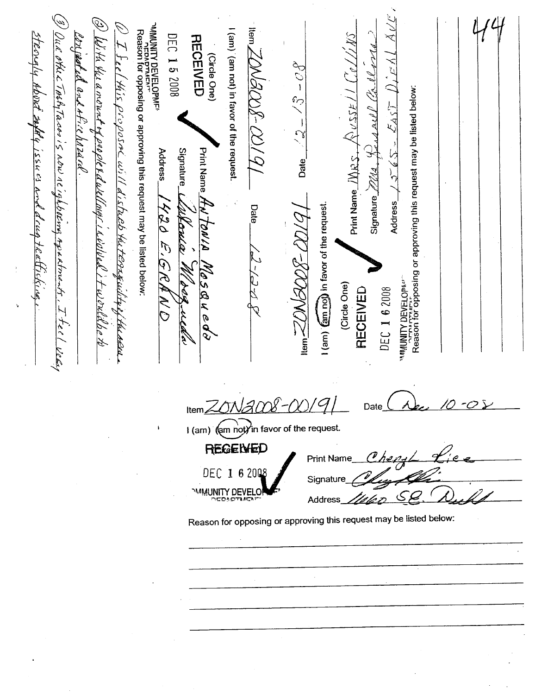| 3) Our other Tractitracies is now ne ighboung apachmants, I teel verey<br>$\circledcirc$ W.H. Yu a moved of people rawlings : a volved i Fusiodalbe ro<br>Í<br>MMUNITY DEVELOPME <sup>r</sup><br>AMMUNITY DEVELOPME <sup>r</sup><br>Reason for opposing or approving this request may be listed below:<br>steorgly Abord saftly issues with drugteatlickings.<br>Conjusted and Atrichnessed.<br>DEC 15 2008<br><b>RECEIVED</b><br>I feel this proposed will dishabb the tenagramities the reen<br>(Circle One)<br>Print Name $\frac{f_t}{f}$ V $\frac{f}{f}$ ON/A<br><b>Signature</b><br><b>Address</b><br>Sulcuca<br>1420 E.GRAND<br>Margueda<br>Mosaucdè | ÄVE<br>ltem<br>I (am) (am not) in favor of the request.<br>$C_\ell/\ell/\ell$<br>Signature $Z/2/4$ , $Z/d$ and and $\ell$ $Z/d$ , $\ell$ $\ell$ and $d$<br>$D$ , $\epsilon$ $\Lambda l$<br>$\mathcal{E}^{O}$<br>$16/00-800$ BN<br>"\#MUNITY DEVELOP\r"<br>Reason for opposing or approving this request may be listed below:<br>Reason for opposing or approving this request may be listed below:<br>Print Name_ $N_{\rm BST}$ $\sqrt{N_{\rm VSSE}}/N$<br>$J\acute{}=65-565$<br>$\mathcal{C}_{\mathcal{D}}$<br>$\tilde{\mathcal{C}}$<br>Date<br>Address<br>I (am) (am not) in favor of the request.<br>Date<br>mst.<br>(Circle One)<br>DEC 1 6 2008<br>RECEIVED<br>$Hem \leq$ |
|------------------------------------------------------------------------------------------------------------------------------------------------------------------------------------------------------------------------------------------------------------------------------------------------------------------------------------------------------------------------------------------------------------------------------------------------------------------------------------------------------------------------------------------------------------------------------------------------------------------------------------------------------------|--------------------------------------------------------------------------------------------------------------------------------------------------------------------------------------------------------------------------------------------------------------------------------------------------------------------------------------------------------------------------------------------------------------------------------------------------------------------------------------------------------------------------------------------------------------------------------------------------------------------------------------------------------------------------------|
|                                                                                                                                                                                                                                                                                                                                                                                                                                                                                                                                                                                                                                                            |                                                                                                                                                                                                                                                                                                                                                                                                                                                                                                                                                                                                                                                                                |

I (am) (am not) in favor of the request.

**REGENED** Lice Print Name\_ <u> 12.</u> DEC 1 6 2008 Signature MMUNITY DEVELO Address\_ <u>//alan</u> ی

Reason for opposing or approving this request may be listed below: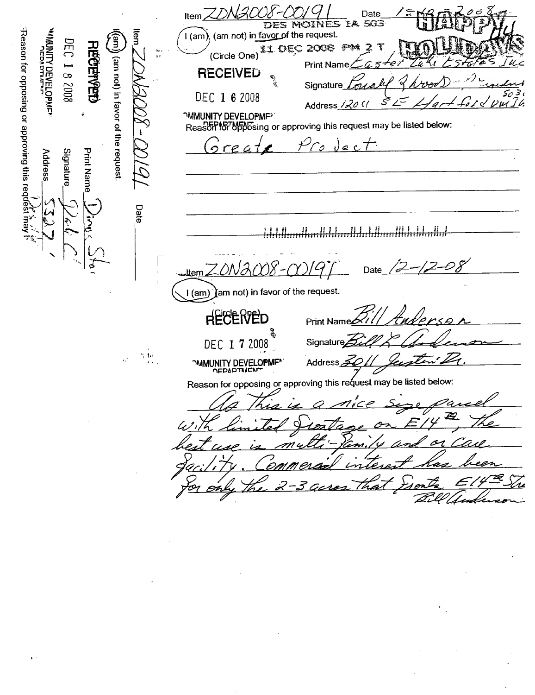DNZOO Date Item  $\angle$ MOINES IA 503 DES I (am), (am not) in favor of the request.  $\pi^{(r/r)}$  ,  $\pi^{(r/r)}$  ,  $\pi^{(r/r)}$ ltem MAMUNITY DEVELOPMENT (am) (am not) in favor of the request DEC 11 DEC 2008 FM (Circle One) 180028 Print Name **RECEIVED** Signature DEC 1 6 2008 'b. Address /20 C TMMUNITY DEVELOPMENT COPY OF A SUPPORT OF THE REAL PROOF REAL PROOF. Real SOFT 15 FOR THE REAL PROOF THAT A SUPPORT OF THE REAL PROOF THAT A SUPPORT OF THE REAL PROOF THAT A SUPPORT OF THE REAL PROOF THAT A SUPPORT OF THE  $Price$   $let$ Great Print Name Address Signature Date تج Date Jutem∠ I (am) ) am not) in favor of the request. **RECERTED Print Name** Signature DEC 172008  $\frac{\partial}{\partial t}\frac{1}{\partial x}$ **NMUNITY DEVELOPMEN** EےAddress Reason for opposing or approving this request may be listed below: